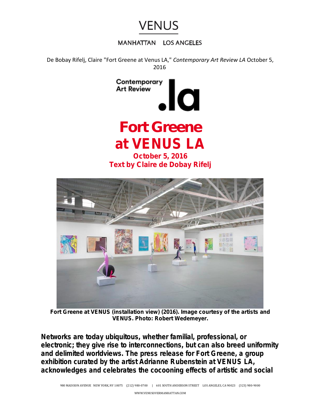

## **MANHATTAN LOS ANGELES**

De Bobay Rifelj, Claire "Fort Greene at Venus LA," *Contemporary Art Review LA* October 5, 2016





*Fort Greene at VENUS (installation view) (2016). Image courtesy of the artists and VENUS. Photo: Robert Wedemeyer.*

*Networks are today ubiquitous, whether familial, professional, or electronic; they give rise to interconnections, but can also breed uniformity and delimited worldviews. The press release for Fort Greene, a group exhibition curated by the artist Adrianne Rubenstein at VENUS LA, acknowledges and celebrates the cocooning effects of artistic and social*